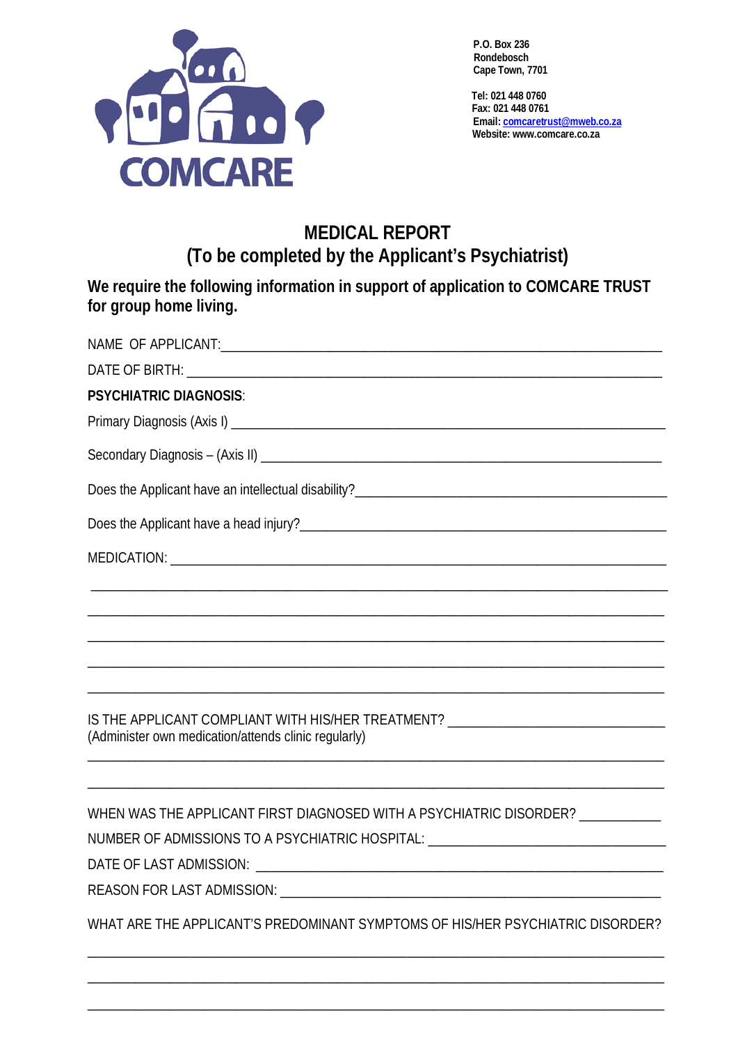

**P.O. Box 236 Rondebosch Cape Town, 7701**

 **Tel: 021 448 0760 Fax: 021 448 0761 Email[: comcaretrust@mweb.co.za](mailto:comcaretrust@mweb.co.za) Website: www.comcare.co.za**

## **MEDICAL REPORT (To be completed by the Applicant's Psychiatrist)**

**We require the following information in support of application to COMCARE TRUST for group home living.**

| <b>PSYCHIATRIC DIAGNOSIS:</b>                                                                                                            |
|------------------------------------------------------------------------------------------------------------------------------------------|
|                                                                                                                                          |
|                                                                                                                                          |
|                                                                                                                                          |
|                                                                                                                                          |
|                                                                                                                                          |
|                                                                                                                                          |
|                                                                                                                                          |
|                                                                                                                                          |
|                                                                                                                                          |
| IS THE APPLICANT COMPLIANT WITH HIS/HER TREATMENT? _____________________________<br>(Administer own medication/attends clinic regularly) |
|                                                                                                                                          |
| WHEN WAS THE APPLICANT FIRST DIAGNOSED WITH A PSYCHIATRIC DISORDER? ___________                                                          |
| NUMBER OF ADMISSIONS TO A PSYCHIATRIC HOSPITAL: ________________________________                                                         |
|                                                                                                                                          |
|                                                                                                                                          |
| WHAT ARE THE APPLICANT'S PREDOMINANT SYMPTOMS OF HIS/HER PSYCHIATRIC DISORDER?                                                           |
|                                                                                                                                          |

\_\_\_\_\_\_\_\_\_\_\_\_\_\_\_\_\_\_\_\_\_\_\_\_\_\_\_\_\_\_\_\_\_\_\_\_\_\_\_\_\_\_\_\_\_\_\_\_\_\_\_\_\_\_\_\_\_\_\_\_\_\_\_\_\_\_\_\_\_\_\_\_\_\_\_\_\_\_\_\_\_\_\_\_\_